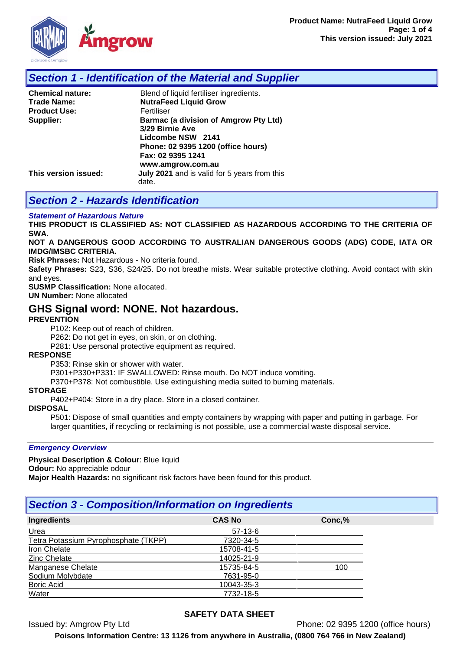

## *Section 1 - Identification of the Material and Supplier*

| <b>Chemical nature:</b> | Blend of liquid fertiliser ingredients.                                                                                    |  |  |
|-------------------------|----------------------------------------------------------------------------------------------------------------------------|--|--|
| <b>Trade Name:</b>      | <b>NutraFeed Liquid Grow</b>                                                                                               |  |  |
| <b>Product Use:</b>     | Fertiliser                                                                                                                 |  |  |
| Supplier:               | <b>Barmac (a division of Amgrow Pty Ltd)</b><br>3/29 Birnie Ave<br>Lidcombe NSW 2141<br>Phone: 02 9395 1200 (office hours) |  |  |
| This version issued:    | Fax: 02 9395 1241<br>www.amgrow.com.au<br>July 2021 and is valid for 5 years from this                                     |  |  |
|                         | date.                                                                                                                      |  |  |

## *Section 2 - Hazards Identification*

#### *Statement of Hazardous Nature*

**THIS PRODUCT IS CLASSIFIED AS: NOT CLASSIFIED AS HAZARDOUS ACCORDING TO THE CRITERIA OF SWA.** 

#### **NOT A DANGEROUS GOOD ACCORDING TO AUSTRALIAN DANGEROUS GOODS (ADG) CODE, IATA OR IMDG/IMSBC CRITERIA.**

**Risk Phrases:** Not Hazardous - No criteria found.

**Safety Phrases:** S23, S36, S24/25. Do not breathe mists. Wear suitable protective clothing. Avoid contact with skin and eyes.

**SUSMP Classification:** None allocated.

**UN Number:** None allocated

### **GHS Signal word: NONE. Not hazardous.**

#### **PREVENTION**

P102: Keep out of reach of children.

P262: Do not get in eyes, on skin, or on clothing.

P281: Use personal protective equipment as required.

#### **RESPONSE**

P353: Rinse skin or shower with water.

P301+P330+P331: IF SWALLOWED: Rinse mouth. Do NOT induce vomiting.

P370+P378: Not combustible. Use extinguishing media suited to burning materials.

#### **STORAGE**

P402+P404: Store in a dry place. Store in a closed container.

#### **DISPOSAL**

P501: Dispose of small quantities and empty containers by wrapping with paper and putting in garbage. For larger quantities, if recycling or reclaiming is not possible, use a commercial waste disposal service.

*Emergency Overview*

**Physical Description & Colour**: Blue liquid

**Odour:** No appreciable odour

**Major Health Hazards:** no significant risk factors have been found for this product.

## *Section 3 - Composition/Information on Ingredients*

| Ingredients                          | <b>CAS No</b> | Conc,% |
|--------------------------------------|---------------|--------|
| Urea                                 | $57-13-6$     |        |
| Tetra Potassium Pyrophosphate (TKPP) | 7320-34-5     |        |
| Iron Chelate                         | 15708-41-5    |        |
| <b>Zinc Chelate</b>                  | 14025-21-9    |        |
| Manganese Chelate                    | 15735-84-5    | 100    |
| Sodium Molybdate                     | 7631-95-0     |        |
| <b>Boric Acid</b>                    | 10043-35-3    |        |
| Water                                | 7732-18-5     |        |

### **SAFETY DATA SHEET**

Issued by: Amgrow Pty Ltd Phone: 02 9395 1200 (office hours)

**Poisons Information Centre: 13 1126 from anywhere in Australia, (0800 764 766 in New Zealand)**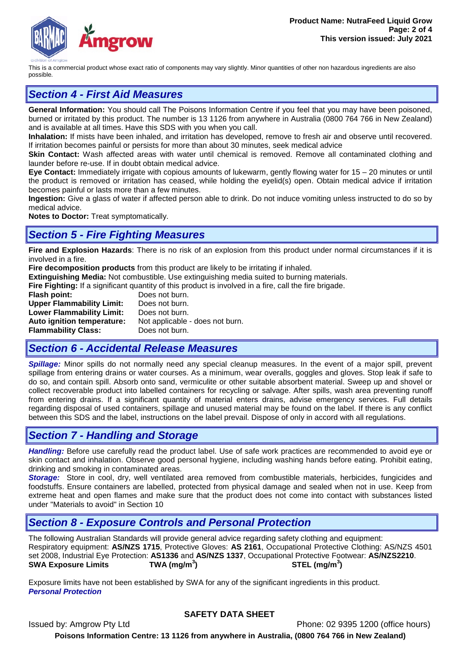

This is a commercial product whose exact ratio of components may vary slightly. Minor quantities of other non hazardous ingredients are also possible.

# *Section 4 - First Aid Measures*

**General Information:** You should call The Poisons Information Centre if you feel that you may have been poisoned, burned or irritated by this product. The number is 13 1126 from anywhere in Australia (0800 764 766 in New Zealand) and is available at all times. Have this SDS with you when you call.

**Inhalation:** If mists have been inhaled, and irritation has developed, remove to fresh air and observe until recovered. If irritation becomes painful or persists for more than about 30 minutes, seek medical advice

**Skin Contact:** Wash affected areas with water until chemical is removed. Remove all contaminated clothing and launder before re-use. If in doubt obtain medical advice.

**Eye Contact:** Immediately irrigate with copious amounts of lukewarm, gently flowing water for 15 – 20 minutes or until the product is removed or irritation has ceased, while holding the eyelid(s) open. Obtain medical advice if irritation becomes painful or lasts more than a few minutes.

**Ingestion:** Give a glass of water if affected person able to drink. Do not induce vomiting unless instructed to do so by medical advice.

**Notes to Doctor:** Treat symptomatically.

### *Section 5 - Fire Fighting Measures*

**Fire and Explosion Hazards**: There is no risk of an explosion from this product under normal circumstances if it is involved in a fire.

**Fire decomposition products** from this product are likely to be irritating if inhaled.

**Extinguishing Media:** Not combustible. Use extinguishing media suited to burning materials.

**Fire Fighting:** If a significant quantity of this product is involved in a fire, call the fire brigade.

**Flash point:** Does not burn.<br>**Upper Flammability Limit:** Does not burn. **Upper Flammability Limit: Lower Flammability Limit:** Does not burn. **Auto ignition temperature:** Not applicable - does not burn.<br>**Flammability Class:** Does not burn. **Flammability Class:** 

# *Section 6 - Accidental Release Measures*

*Spillage:* Minor spills do not normally need any special cleanup measures. In the event of a major spill, prevent spillage from entering drains or water courses. As a minimum, wear overalls, goggles and gloves. Stop leak if safe to do so, and contain spill. Absorb onto sand, vermiculite or other suitable absorbent material. Sweep up and shovel or collect recoverable product into labelled containers for recycling or salvage. After spills, wash area preventing runoff from entering drains. If a significant quantity of material enters drains, advise emergency services. Full details regarding disposal of used containers, spillage and unused material may be found on the label. If there is any conflict between this SDS and the label, instructions on the label prevail. Dispose of only in accord with all regulations.

## *Section 7 - Handling and Storage*

*Handling:* Before use carefully read the product label. Use of safe work practices are recommended to avoid eye or skin contact and inhalation. Observe good personal hygiene, including washing hands before eating. Prohibit eating, drinking and smoking in contaminated areas.

*Storage:*Store in cool, dry, well ventilated area removed from combustible materials, herbicides, fungicides and foodstuffs. Ensure containers are labelled, protected from physical damage and sealed when not in use. Keep from extreme heat and open flames and make sure that the product does not come into contact with substances listed under "Materials to avoid" in Section 10

## *Section 8 - Exposure Controls and Personal Protection*

The following Australian Standards will provide general advice regarding safety clothing and equipment: Respiratory equipment: **AS/NZS 1715**, Protective Gloves: **AS 2161**, Occupational Protective Clothing: AS/NZS 4501 set 2008, Industrial Eye Protection: **AS1336** and **AS/NZS 1337**, Occupational Protective Footwear: **AS/NZS2210**. **SWA Exposure Limits TWA (mg/m<sup>3</sup> ) STEL (mg/m<sup>3</sup> )**

Exposure limits have not been established by SWA for any of the significant ingredients in this product. *Personal Protection*

### **SAFETY DATA SHEET**

Issued by: Amgrow Pty Ltd Phone: 02 9395 1200 (office hours) **Poisons Information Centre: 13 1126 from anywhere in Australia, (0800 764 766 in New Zealand)**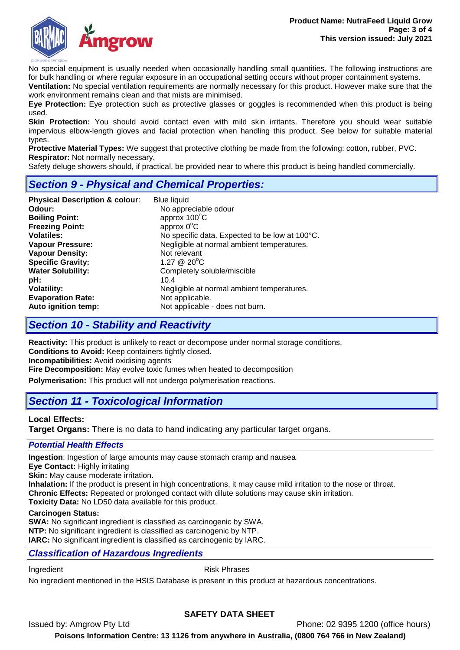

No special equipment is usually needed when occasionally handling small quantities. The following instructions are for bulk handling or where regular exposure in an occupational setting occurs without proper containment systems.

**Ventilation:** No special ventilation requirements are normally necessary for this product. However make sure that the work environment remains clean and that mists are minimised.

**Eye Protection:** Eye protection such as protective glasses or goggles is recommended when this product is being used.

**Skin Protection:** You should avoid contact even with mild skin irritants. Therefore you should wear suitable impervious elbow-length gloves and facial protection when handling this product. See below for suitable material types.

**Protective Material Types:** We suggest that protective clothing be made from the following: cotton, rubber, PVC. **Respirator:** Not normally necessary.

Safety deluge showers should, if practical, be provided near to where this product is being handled commercially.

# *Section 9 - Physical and Chemical Properties:*

| <b>Physical Description &amp; colour:</b> | <b>Blue liquid</b>                             |
|-------------------------------------------|------------------------------------------------|
| Odour:                                    | No appreciable odour                           |
| <b>Boiling Point:</b>                     | approx 100°C                                   |
| <b>Freezing Point:</b>                    | approx $0^{\circ}$ C                           |
| <b>Volatiles:</b>                         | No specific data. Expected to be low at 100°C. |
| <b>Vapour Pressure:</b>                   | Negligible at normal ambient temperatures.     |
| <b>Vapour Density:</b>                    | Not relevant                                   |
| <b>Specific Gravity:</b>                  | 1.27 $@$ 20 $°C$                               |
| <b>Water Solubility:</b>                  | Completely soluble/miscible                    |
| pH:                                       | 10.4                                           |
| <b>Volatility:</b>                        | Negligible at normal ambient temperatures.     |
| <b>Evaporation Rate:</b>                  | Not applicable.                                |
| Auto ignition temp:                       | Not applicable - does not burn.                |

# *Section 10 - Stability and Reactivity*

**Reactivity:** This product is unlikely to react or decompose under normal storage conditions. **Conditions to Avoid:** Keep containers tightly closed. **Incompatibilities:** Avoid oxidising agents **Fire Decomposition:** May evolve toxic fumes when heated to decomposition

**Polymerisation:** This product will not undergo polymerisation reactions.

# *Section 11 - Toxicological Information*

#### **Local Effects:**

**Target Organs:** There is no data to hand indicating any particular target organs.

#### *Potential Health Effects*

**Ingestion**: Ingestion of large amounts may cause stomach cramp and nausea

**Eye Contact:** Highly irritating

**Skin:** May cause moderate irritation.

**Inhalation:** If the product is present in high concentrations, it may cause mild irritation to the nose or throat.

**Chronic Effects:** Repeated or prolonged contact with dilute solutions may cause skin irritation.

**Toxicity Data:** No LD50 data available for this product.

#### **Carcinogen Status:**

**SWA:** No significant ingredient is classified as carcinogenic by SWA. **NTP:** No significant ingredient is classified as carcinogenic by NTP. **IARC:** No significant ingredient is classified as carcinogenic by IARC.

#### *Classification of Hazardous Ingredients*

Ingredient **Risk Phrases** 

No ingredient mentioned in the HSIS Database is present in this product at hazardous concentrations.

### **SAFETY DATA SHEET**

Issued by: Amgrow Pty Ltd Phone: 02 9395 1200 (office hours)

**Poisons Information Centre: 13 1126 from anywhere in Australia, (0800 764 766 in New Zealand)**